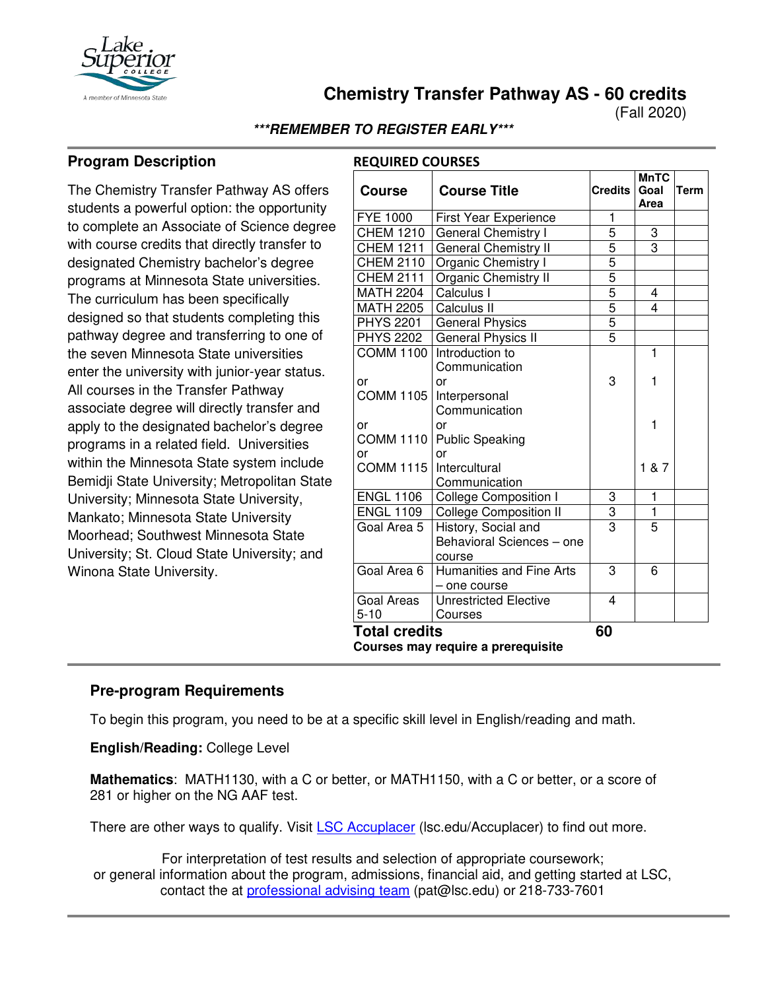

**Chemistry Transfer Pathway AS - 60 credits**

(Fall 2020)

**\*\*\*REMEMBER TO REGISTER EARLY\*\*\***

**REQUIRED COURSES**

#### **Program Description**

The Chemistry Transfer Pathway AS offers students a powerful option: the opportunity to complete an Associate of Science degree with course credits that directly transfer to designated Chemistry bachelor's degree programs at Minnesota State universities. The curriculum has been specifically designed so that students completing this pathway degree and transferring to one of the seven Minnesota State universities enter the university with junior-year status. All courses in the Transfer Pathway associate degree will directly transfer and apply to the designated bachelor's degree programs in a related field. Universities within the Minnesota State system include Bemidji State University; Metropolitan State University; Minnesota State University, Mankato; Minnesota State University Moorhead; Southwest Minnesota State University; St. Cloud State University; and Winona State University.

| <b>Course</b>                      | <b>Course Title</b>                        | <b>Credits</b> | <b>MnTC</b><br>Goal<br>Area | <b>Term</b> |  |  |  |
|------------------------------------|--------------------------------------------|----------------|-----------------------------|-------------|--|--|--|
| <b>FYE 1000</b>                    | <b>First Year Experience</b>               | 1              |                             |             |  |  |  |
| <b>CHEM 1210</b>                   | General Chemistry I                        | 5              | 3                           |             |  |  |  |
| <b>CHEM 1211</b>                   | General Chemistry II                       | 5              | $\overline{3}$              |             |  |  |  |
| <b>CHEM 2110</b>                   | Organic Chemistry I                        | 5              |                             |             |  |  |  |
| <b>CHEM 2111</b>                   | <b>Organic Chemistry II</b>                | $\frac{1}{5}$  |                             |             |  |  |  |
| <b>MATH 2204</b>                   | Calculus I                                 | 5              | 4                           |             |  |  |  |
| <b>MATH 2205</b>                   | Calculus II                                | 5              | 4                           |             |  |  |  |
| <b>PHYS 2201</b>                   | <b>General Physics</b>                     | 5              |                             |             |  |  |  |
| <b>PHYS 2202</b>                   | General Physics II                         | $\overline{5}$ |                             |             |  |  |  |
|                                    | COMM 1100 Introduction to<br>Communication |                | 1                           |             |  |  |  |
| or                                 | or                                         | 3              | 1                           |             |  |  |  |
| <b>COMM 1105</b>                   | Interpersonal                              |                |                             |             |  |  |  |
|                                    | Communication                              |                |                             |             |  |  |  |
| or                                 | or                                         |                | 1                           |             |  |  |  |
| <b>COMM 1110</b>                   | <b>Public Speaking</b>                     |                |                             |             |  |  |  |
| or                                 | or                                         |                |                             |             |  |  |  |
| <b>COMM 1115</b>                   | Intercultural                              |                | 1 & 7                       |             |  |  |  |
|                                    | Communication                              |                |                             |             |  |  |  |
| <b>ENGL 1106</b>                   | <b>College Composition I</b>               | 3              | 1                           |             |  |  |  |
| <b>ENGL 1109</b>                   | <b>College Composition II</b>              | $\frac{3}{3}$  | $\overline{1}$              |             |  |  |  |
| Goal Area 5                        | History, Social and                        |                | $\overline{5}$              |             |  |  |  |
|                                    | Behavioral Sciences - one                  |                |                             |             |  |  |  |
|                                    | course                                     |                |                             |             |  |  |  |
| Goal Area 6                        | Humanities and Fine Arts                   | 3              | 6                           |             |  |  |  |
|                                    | - one course                               |                |                             |             |  |  |  |
| Goal Areas                         | <b>Unrestricted Elective</b>               | 4              |                             |             |  |  |  |
| $5 - 10$                           | Courses                                    |                |                             |             |  |  |  |
| <b>Total credits</b>               | 60                                         |                |                             |             |  |  |  |
| Courses may require a prerequisite |                                            |                |                             |             |  |  |  |

# **Pre-program Requirements**

To begin this program, you need to be at a specific skill level in English/reading and math.

**English/Reading:** College Level

**Mathematics**: MATH1130, with a C or better, or MATH1150, with a C or better, or a score of 281 or higher on the NG AAF test.

There are other ways to qualify. Visit LSC Accuplacer (lsc.edu/Accuplacer) to find out more.

For interpretation of test results and selection of appropriate coursework; or general information about the program, admissions, financial aid, and getting started at LSC, contact the at [professional advising team](mailto:pat@lsc.edu) (pat@lsc.edu) or 218-733-7601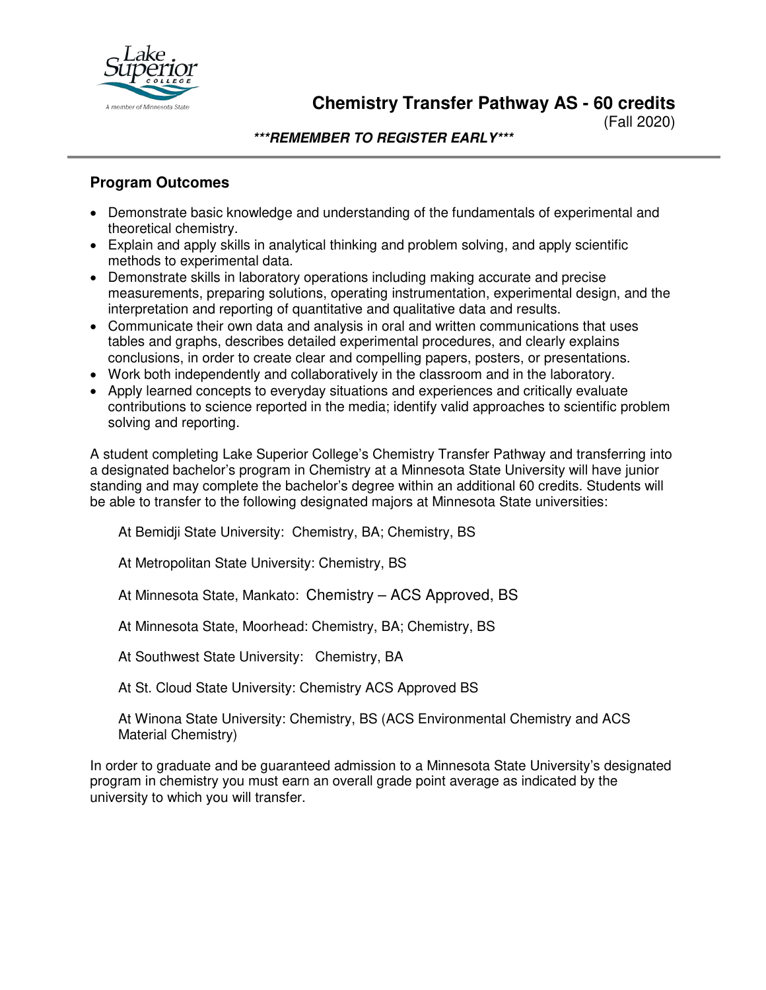

**Chemistry Transfer Pathway AS - 60 credits**

(Fall 2020)

**\*\*\*REMEMBER TO REGISTER EARLY\*\*\***

## **Program Outcomes**

- Demonstrate basic knowledge and understanding of the fundamentals of experimental and theoretical chemistry.
- Explain and apply skills in analytical thinking and problem solving, and apply scientific methods to experimental data.
- Demonstrate skills in laboratory operations including making accurate and precise measurements, preparing solutions, operating instrumentation, experimental design, and the interpretation and reporting of quantitative and qualitative data and results.
- Communicate their own data and analysis in oral and written communications that uses tables and graphs, describes detailed experimental procedures, and clearly explains conclusions, in order to create clear and compelling papers, posters, or presentations.
- Work both independently and collaboratively in the classroom and in the laboratory.
- Apply learned concepts to everyday situations and experiences and critically evaluate contributions to science reported in the media; identify valid approaches to scientific problem solving and reporting.

A student completing Lake Superior College's Chemistry Transfer Pathway and transferring into a designated bachelor's program in Chemistry at a Minnesota State University will have junior standing and may complete the bachelor's degree within an additional 60 credits. Students will be able to transfer to the following designated majors at Minnesota State universities:

At Bemidji State University: Chemistry, BA; Chemistry, BS

At Metropolitan State University: Chemistry, BS

At Minnesota State, Mankato: Chemistry – ACS Approved, BS

At Minnesota State, Moorhead: Chemistry, BA; Chemistry, BS

At Southwest State University: Chemistry, BA

At St. Cloud State University: Chemistry ACS Approved BS

At Winona State University: Chemistry, BS (ACS Environmental Chemistry and ACS Material Chemistry)

In order to graduate and be guaranteed admission to a Minnesota State University's designated program in chemistry you must earn an overall grade point average as indicated by the university to which you will transfer.